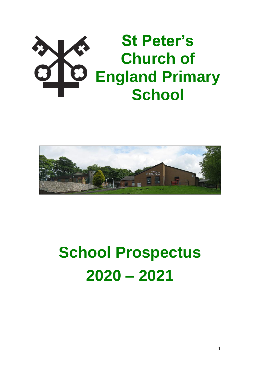# **St Peter's Church of England Primary School**



# **School Prospectus 2020 – 2021**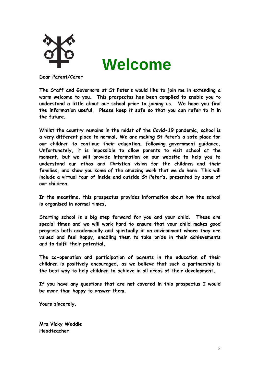

# **Welcome**

**Dear Parent/Carer**

**The Staff and Governors at St Peter's would like to join me in extending a warm welcome to you. This prospectus has been compiled to enable you to understand a little about our school prior to joining us. We hope you find the information useful. Please keep it safe so that you can refer to it in the future.**

**Whilst the country remains in the midst of the Covid-19 pandemic, school is a very different place to normal. We are making St Peter's a safe place for our children to continue their education, following government guidance. Unfortunately, it is impossible to allow parents to visit school at the moment, but we will provide information on our website to help you to understand our ethos and Christian vision for the children and their families, and show you some of the amazing work that we do here. This will include a virtual tour of inside and outside St Peter's, presented by some of our children.**

**In the meantime, this prospectus provides information about how the school is organised in normal times.**

**Starting school is a big step forward for you and your child. These are special times and we will work hard to ensure that your child makes good progress both academically and spiritually in an environment where they are valued and feel happy, enabling them to take pride in their achievements and to fulfil their potential.**

**The co-operation and participation of parents in the education of their children is positively encouraged, as we believe that such a partnership is the best way to help children to achieve in all areas of their development.**

**If you have any questions that are not covered in this prospectus I would be more than happy to answer them.** 

**Yours sincerely,**

**Mrs Vicky Weddle Headteacher**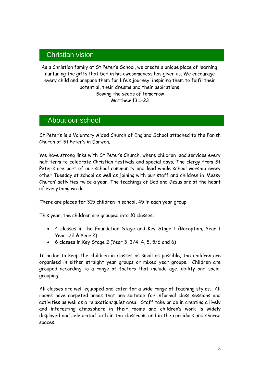# **Head in Christian vision**

As a Christian family at St Peter's School, we create a unique place of learning, nurturing the gifts that God in his awesomeness has given us. We encourage every child and prepare them for life's journey, inspiring them to fulfil their potential, their dreams and their aspirations. Sowing the seeds of tomorrow Matthew 13:1-23

# About our school

St Peter's is a Voluntary Aided Church of England School attached to the Parish Church of St Peter's in Darwen.

We have strong links with St Peter's Church, where children lead services every half term to celebrate Christian festivals and special days. The clergy from St Peter's are part of our school community and lead whole school worship every other Tuesday at school as well as joining with our staff and children in 'Messy Church' activities twice a year. The teachings of God and Jesus are at the heart of everything we do.

There are places for 315 children in school, 45 in each year group.

This year, the children are grouped into 10 classes:

- 4 classes in the Foundation Stage and Key Stage 1 (Reception, Year 1 Year 1/2 & Year 2)
- $\bullet$  6 classes in Key Stage 2 (Year 3, 3/4, 4, 5, 5/6 and 6)

In order to keep the children in classes as small as possible, the children are organised in either straight year groups or mixed year groups. Children are grouped according to a range of factors that include age, ability and social grouping.

All classes are well equipped and cater for a wide range of teaching styles. All rooms have carpeted areas that are suitable for informal class sessions and activities as well as a relaxation/quiet area. Staff take pride in creating a lively and interesting atmosphere in their rooms and children's work is widely displayed and celebrated both in the classroom and in the corridors and shared spaces.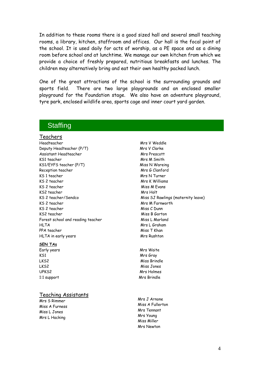In addition to these rooms there is a good sized hall and several small teaching rooms, a library, kitchen, staffroom and offices. Our hall is the focal point of the school. It is used daily for acts of worship, as a PE space and as a dining room before school and at lunchtime. We manage our own kitchen from which we provide a choice of freshly prepared, nutritious breakfasts and lunches. The children may alternatively bring and eat their own healthy packed lunch.

One of the great attractions of the school is the surrounding grounds and sports field. There are two large playgrounds and an enclosed smaller playground for the Foundation stage. We also have an adventure playground, tyre park, enclosed wildlife area, sports cage and inner court yard garden.

# **Staffing**

### Teachers

Headteacher Mrs V Weddle Deputy Headteacher (P/T) Mrs V Clarke Assistant Headteacher Mrs Prescott KS1 teacher Mrs M Smith KS1/EYFS teacher (P/T) Miss N Wareing Reception teacher Mrs G Clanford KS 1 teacher Mrs N Turner KS 2 teacher Mrs K Williams KS 2 teacher Miss M Evans KS2 teacher Mrs Holt KS 2 teacher Mrs M Farnworth KS 2 teacher Miss C Dunn KS2 teacher Miss B Gorton Forest school and reading teacher Miss L Marland HLTA Mrs L Graham PPA teacher Miss T Khan HLTA in early years Mrs Rushton

#### **SEN TAs**

KS1 Mrs Gray

#### Teaching Assistants

Mrs S Rimmer Miss A Furness Miss L Jones Mrs L Hacking

KS 2 teacher/Sendco and the Miss SJ Rawlings (maternity leave)

Early years Mrs Waite LKS2 Miss Brindle LKS2 Miss Jones UPKS2 Mrs Holmes 1:1 support Mrs Brindle

> Mrs J Arnone Miss A Fullerton Mrs Tennant Mrs Young Miss Miller Mrs Newton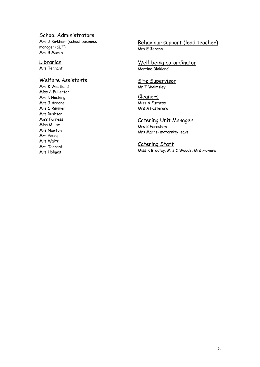## School Administrators

Mrs J Kirkham (school business manager/SLT) Mrs R Marsh

# Librarian

Mrs Tennant

# Welfare Assistants

Mrs K Westlund Miss A Fullerton Mrs L Hacking Mrs J Arnone Mrs S Rimmer Mrs Rushton Miss Furness Miss Miller Mrs Newton Mrs Young Mrs Waite Mrs Tennant Mrs Holmes

## Behaviour support (lead teacher) Mrs E Jepson

Well-being co-ordinator Martine Blokland

#### Site Supervisor Mr T Walmsley

Cleaners Miss A Furness Mrs A Posteraro

### Catering Unit Manager

Mrs K Earnshaw Mrs Marrs- maternity leave

Catering Staff Miss K Bradley, Mrs C Woods, Mrs Howard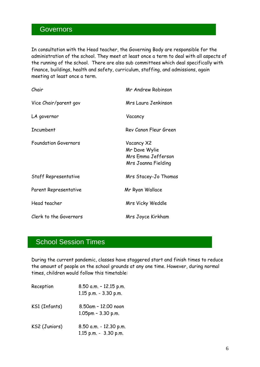# **Governors**

Mission Statement

In consultation with the Head teacher, the Governing Body are responsible for the administration of the school. They meet at least once a term to deal with all aspects of the running of the school. There are also sub committees which deal specifically with finance, buildings, health and safety, curriculum, staffing, and admissions, again meeting at least once a term.

| Chair                       | Mr Andrew Robinson                                                       |
|-----------------------------|--------------------------------------------------------------------------|
| Vice Chair/parent gov       | Mrs Laura Jenkinson                                                      |
| LA governor                 | Vacancy                                                                  |
| Incumbent                   | Rev Canon Fleur Green                                                    |
| <b>Foundation Governors</b> | Vacancy X2<br>Mr Dave Wylie<br>Mrs Emma Jefferson<br>Mrs Joanna Fielding |
| Staff Representative        | Mrs Stacey-Jo Thomas                                                     |
| Parent Representative       | Mr Ryan Wallace                                                          |
| Head teacher                | Mrs Vicky Weddle                                                         |
| Clerk to the Governors      | Mrs Joyce Kirkham                                                        |

# School Session Times

During the current pandemic, classes have staggered start and finish times to reduce the amount of people on the school grounds at any one time. However, during normal times, children would follow this timetable:

| Reception     | 8.50 a.m. - 12.15 p.m.<br>1.15 p.m. - 3.30 p.m. |
|---------------|-------------------------------------------------|
| KS1 (Infants) | 8.50am - 12.00 noon<br>$1.05$ pm - $3.30$ p.m.  |
| KS2 (Juniors) | 8.50 a.m. - 12.30 p.m.<br>1.15 p.m. - 3.30 p.m. |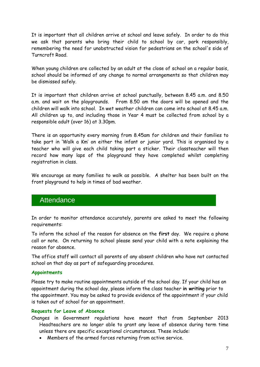It is important that all children arrive at school and leave safely. In order to do this we ask that parents who bring their child to school by car, park responsibly, remembering the need for unobstructed vision for pedestrians on the school's side of Turncroft Road.

When young children are collected by an adult at the close of school on a regular basis, school should be informed of any change to normal arrangements so that children may be dismissed safely.

It is important that children arrive at school punctually, between 8.45 a.m. and 8.50 a.m. and wait on the playgrounds. From 8.50 am the doors will be opened and the children will walk into school. In wet weather children can come into school at 8.45 a.m. All children up to, and including those in Year 4 must be collected from school by a responsible adult (over 16) at 3.30pm.

There is an opportunity every morning from 8.45am for children and their families to take part in 'Walk a Km' on either the infant or junior yard. This is organised by a teacher who will give each child taking part a sticker. Their classteacher will then record how many laps of the playground they have completed whilst completing registration in class.

We encourage as many families to walk as possible. A shelter has been built on the front playground to help in times of bad weather.

# **Attendance**

In order to monitor attendance accurately, parents are asked to meet the following requirements:

To inform the school of the reason for absence on the **first** day. We require a phone call or note. On returning to school please send your child with a note explaining the reason for absence.

The office staff will contact all parents of any absent children who have not contacted school on that day as part of safeguarding procedures.

### **Appointments**

Please try to make routine appointments outside of the school day. If your child has an appointment during the school day, please inform the class teacher **in writing** prior to the appointment. You may be asked to provide evidence of the appointment if your child is taken out of school for an appointment.

# **Requests for Leave of Absence**

- Changes in Government regulations have meant that from September 2013 Headteachers are no longer able to grant any leave of absence during term time unless there are specific exceptional circumstances. These include:
	- Members of the armed forces returning from active service.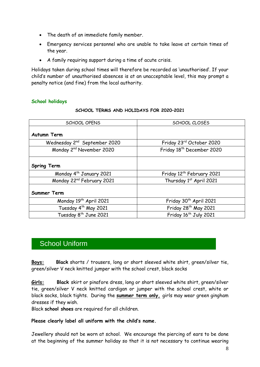- The death of an immediate family member.
- Emergency services personnel who are unable to take leave at certain times of the year.
- A family requiring support during a time of acute crisis.

Holidays taken during school times will therefore be recorded as 'unauthorised'. If your child's number of unauthorised absences is at an unacceptable level, this may prompt a penalty notice (and fine) from the local authority.

### **School holidays**

| <b>SCHOOL OPENS</b>                      | SCHOOL CLOSES                         |
|------------------------------------------|---------------------------------------|
| <b>Autumn Term</b>                       |                                       |
| Wednesday 2 <sup>nd</sup> September 2020 | Friday 23rd October 2020              |
| Monday 2 <sup>nd</sup> November 2020     | Friday 18 <sup>th</sup> December 2020 |
| <b>Spring Term</b>                       |                                       |
| Monday 4 <sup>th</sup> January 2021      | Friday 12 <sup>th</sup> February 2021 |
| Monday 22 <sup>nd</sup> February 2021    | Thursday 1st April 2021               |
| Summer Term                              |                                       |
| Monday 19 <sup>th</sup> April 2021       | Friday 30 <sup>th</sup> April 2021    |
| Tuesday 4 <sup>th</sup> May 2021         | Friday 28 <sup>th</sup> May 2021      |
| Tuesday 8 <sup>th</sup> June 2021        | Friday 16 <sup>th</sup> July 2021     |

#### **SCHOOL TERMS AND HOLIDAYS FOR 2020–2021**

# School Uniform

**Boys: Black** shorts / trousers, long or short sleeved white shirt, green/silver tie, green/silver V neck knitted jumper with the school crest, black socks

**Girls: Black** skirt or pinafore dress, long or short sleeved white shirt, green/silver tie, green/silver V neck knitted cardigan or jumper with the school crest, white or black socks, black tights. During the **summer term only,** girls may wear green gingham dresses if they wish.

Black **school shoes** are required for all children.

### **Please clearly label all uniform with the child's name.**

Jewellery should not be worn at school. We encourage the piercing of ears to be done at the beginning of the summer holiday so that it is not necessary to continue wearing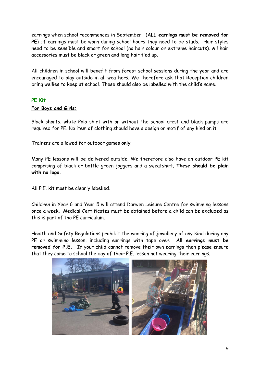earrings when school recommences in September. (**ALL earrings must be removed for PE**) If earrings must be worn during school hours they need to be studs. Hair styles need to be sensible and smart for school (no hair colour or extreme haircuts). All hair accessories must be black or green and long hair tied up.

All children in school will benefit from forest school sessions during the year and are encouraged to play outside in all weathers. We therefore ask that Reception children bring wellies to keep at school. These should also be labelled with the child's name.

### **PE Kit**

### **For Boys and Girls:**

Black shorts, white Polo shirt with or without the school crest and black pumps are required for PE. No item of clothing should have a design or motif of any kind on it.

Trainers are allowed for outdoor games **only**.

Many PE lessons will be delivered outside. We therefore also have an outdoor PE kit comprising of black or bottle green joggers and a sweatshirt. **These should be plain with no logo.**

All P.E. kit must be clearly labelled.

Children in Year 6 and Year 5 will attend Darwen Leisure Centre for swimming lessons once a week. Medical Certificates must be obtained before a child can be excluded as this is part of the PE curriculum.

Health and Safety Regulations prohibit the wearing of jewellery of any kind during any PE or swimming lesson, including earrings with tape over. **All earrings must be removed for P.E.** If your child cannot remove their own earrings then please ensure that they come to school the day of their P.E. lesson not wearing their earrings.

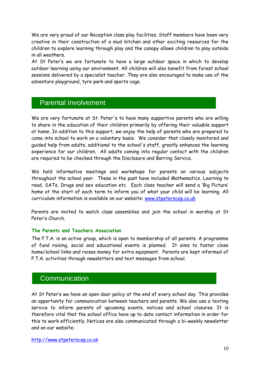We are very proud of our Reception class play facilities. Staff members have been very creative in their construction of a mud kitchen and other exciting resources for the children to explore learning through play and the canopy allows children to play outside in all weathers.

At St Peter's we are fortunate to have a large outdoor space in which to develop outdoor learning using our environment. All children will also benefit from forest school sessions delivered by a specialist teacher. They are also encouraged to make use of the adventure playground, tyre park and sports cage.

# Parental Involvement

We are very fortunate at St. Peter's to have many supportive parents who are willing to share in the education of their children primarily by offering their valuable support at home. In addition to this support, we enjoy the help of parents who are prepared to come into school to work on a voluntary basis. We consider that closely monitored and guided help from adults, additional to the school's staff, greatly enhances the learning experience for our children. All adults coming into regular contact with the children are required to be checked through the Disclosure and Barring Service.

We hold informative meetings and workshops for parents on various subjects throughout the school year. These in the past have included Mathematics, Learning to read, SATs, Drugs and sex education etc. Each class teacher will send a 'Big Picture' home at the start of each term to inform you of what your child will be learning. All curriculum information is available on our website: [www.stpeterscep.co.uk](http://www.stpeterscep.co.uk/)

Parents are invited to watch class assemblies and join the school in worship at St Peter's Church.

### **The Parents and Teachers Association**

The P.T.A. is an active group, which is open to membership of all parents. A programme of fund raising, social and educational events is planned. It aims to foster close home/school links and raises money for extra equipment. Parents are kept informed of P.T.A. activities through newsletters and text messages from school.

# **Communication**

At St Peter's we have an open door policy at the end of every school day. This provides an opportunity for communication between teachers and parents. We also use a texting service to inform parents of upcoming events, notices and school closures. It is therefore vital that the school office have up to date contact information in order for this to work efficiently. Notices are also communicated through a bi-weekly newsletter and on our website: